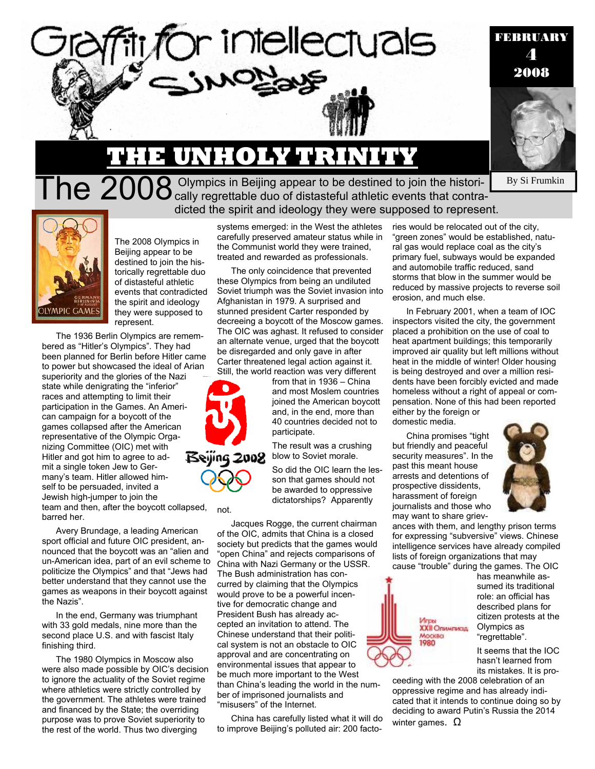

#### By Si Frumkin

**THE UNHOLY TRINITY**

The  $2008$  Olympics in Beijing appear to be destined to join the histori-<br>The  $2008$  cally regrettable duo of distasteful athletic events that contradicted the spirit and ideology they were supposed to represent.

or intellectuals



The 2008 Olympics in Beijing appear to be destined to join the historically regrettable duo of distasteful athletic events that contradicted the spirit and ideology they were supposed to represent.

The 1936 Berlin Olympics are remembered as "Hitler's Olympics". They had been planned for Berlin before Hitler came to power but showcased the ideal of Arian superiority and the glories of the Nazi state while denigrating the "inferior" races and attempting to limit their participation in the Games. An American campaign for a boycott of the games collapsed after the American representative of the Olympic Organizing Committee (OIC) met with Beying 2008 Hitler and got him to agree to admit a single token Jew to Germany's team. Hitler allowed himself to be persuaded, invited a Jewish high-jumper to join the team and then, after the boycott collapsed, barred her.

Avery Brundage, a leading American sport official and future OIC president, announced that the boycott was an "alien and un-American idea, part of an evil scheme to politicize the Olympics" and that "Jews had better understand that they cannot use the games as weapons in their boycott against the Nazis".

In the end, Germany was triumphant with 33 gold medals, nine more than the second place U.S. and with fascist Italy finishing third.

The 1980 Olympics in Moscow also were also made possible by OIC's decision to ignore the actuality of the Soviet regime where athletics were strictly controlled by the government. The athletes were trained and financed by the State; the overriding purpose was to prove Soviet superiority to the rest of the world. Thus two diverging

systems emerged: in the West the athletes carefully preserved amateur status while in the Communist world they were trained, treated and rewarded as professionals.

The only coincidence that prevented these Olympics from being an undiluted Soviet triumph was the Soviet invasion into Afghanistan in 1979. A surprised and stunned president Carter responded by decreeing a boycott of the Moscow games. The OIC was aghast. It refused to consider an alternate venue, urged that the boycott be disregarded and only gave in after Carter threatened legal action against it. Still, the world reaction was very different

> from that in 1936 – China and most Moslem countries joined the American boycott and, in the end, more than 40 countries decided not to participate.

The result was a crushing blow to Soviet morale.

So did the OIC learn the lesson that games should not be awarded to oppressive dictatorships? Apparently

Jacques Rogge, the current chairman of the OIC, admits that China is a closed society but predicts that the games would "open China" and rejects comparisons of China with Nazi Germany or the USSR. The Bush administration has concurred by claiming that the Olympics would prove to be a powerful incentive for democratic change and President Bush has already accepted an invitation to attend. The Chinese understand that their political system is not an obstacle to OIC approval and are concentrating on environmental issues that appear to be much more important to the West than China's leading the world in the number of imprisoned journalists and "misusers" of the Internet.

not.

China has carefully listed what it will do to improve Beijing's polluted air: 200 factories would be relocated out of the city, "green zones" would be established, natural gas would replace coal as the city's primary fuel, subways would be expanded and automobile traffic reduced, sand storms that blow in the summer would be reduced by massive projects to reverse soil erosion, and much else.

In February 2001, when a team of IOC inspectors visited the city, the government placed a prohibition on the use of coal to heat apartment buildings; this temporarily improved air quality but left millions without heat in the middle of winter! Older housing is being destroyed and over a million residents have been forcibly evicted and made homeless without a right of appeal or compensation. None of this had been reported either by the foreign or domestic media.

China promises "tight but friendly and peaceful security measures". In the past this meant house arrests and detentions of

prospective dissidents, harassment of foreign journalists and those who



may want to share grievances with them, and lengthy prison terms for expressing "subversive" views. Chinese intelligence services have already compiled lists of foreign organizations that may cause "trouble" during the games. The OIC



has meanwhile assumed its traditional role: an official has described plans for citizen protests at the Olympics as "regrettable".

It seems that the IOC hasn't learned from its mistakes. It is pro-

ceeding with the 2008 celebration of an oppressive regime and has already indicated that it intends to continue doing so by deciding to award Putin's Russia the 2014

winter games.  $Ω$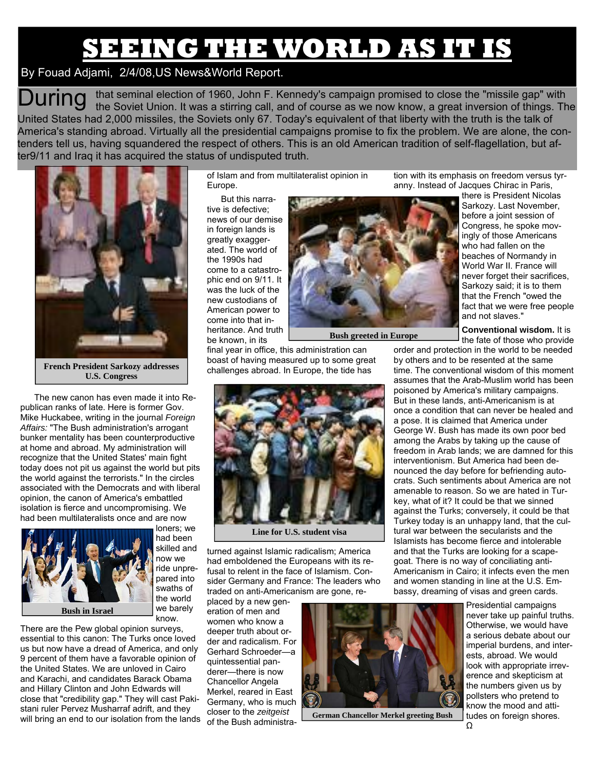# **SEEING THE WORLD AS IT IS**

### By Fouad Adjami, 2/4/08,US News&World Report.

 $\mathsf{D}\mathsf{uring}$  that seminal election of 1960, John F. Kennedy's campaign promised to close the "missile gap" with the Soviet Union. It was a stirring call, and of course as we now know, a great inversion of things. The United States had 2,000 missiles, the Soviets only 67. Today's equivalent of that liberty with the truth is the talk of America's standing abroad. Virtually all the presidential campaigns promise to fix the problem. We are alone, the contenders tell us, having squandered the respect of others. This is an old American tradition of self-flagellation, but after9/11 and Iraq it has acquired the status of undisputed truth.



**French President Sarkozy addresses U.S. Congress** 

The new canon has even made it into Republican ranks of late. Here is former Gov. Mike Huckabee, writing in the journal *Foreign Affairs:* "The Bush administration's arrogant bunker mentality has been counterproductive at home and abroad. My administration will recognize that the United States' main fight today does not pit us against the world but pits the world against the terrorists." In the circles associated with the Democrats and with liberal opinion, the canon of America's embattled isolation is fierce and uncompromising. We had been multilateralists once and are now



loners; we had been skilled and now we ride unprepared into swaths of the world we barely know.

There are the Pew global opinion surveys, essential to this canon: The Turks once loved us but now have a dread of America, and only 9 percent of them have a favorable opinion of the United States. We are unloved in Cairo and Karachi, and candidates Barack Obama and Hillary Clinton and John Edwards will close that "credibility gap." They will cast Pakistani ruler Pervez Musharraf adrift, and they will bring an end to our isolation from the lands

of Islam and from multilateralist opinion in Europe.

But this narrative is defective; news of our demise in foreign lands is greatly exaggerated. The world of the 1990s had come to a catastrophic end on 9/11. It was the luck of the new custodians of American power to come into that inheritance. And truth be known, in its



**Bush greeted in Europe** 

final year in office, this administration can boast of having measured up to some great challenges abroad. In Europe, the tide has



**Line for U.S. student visa** 

turned against Islamic radicalism; America had emboldened the Europeans with its refusal to relent in the face of Islamism. Consider Germany and France: The leaders who traded on anti-Americanism are gone, re-

placed by a new generation of men and women who know a deeper truth about order and radicalism. For Gerhard Schroeder—a quintessential panderer—there is now Chancellor Angela Merkel, reared in East Germany, who is much closer to the *zeitgeist* of the Bush administra-



**German Chancellor Merkel greeting Bush** 

tion with its emphasis on freedom versus tyranny. Instead of Jacques Chirac in Paris,

> there is President Nicolas Sarkozy. Last November, before a joint session of Congress, he spoke movingly of those Americans who had fallen on the beaches of Normandy in World War II. France will never forget their sacrifices, Sarkozy said; it is to them that the French "owed the fact that we were free people and not slaves."

**Conventional wisdom.** It is the fate of those who provide

order and protection in the world to be needed by others and to be resented at the same time. The conventional wisdom of this moment assumes that the Arab-Muslim world has been poisoned by America's military campaigns. But in these lands, anti-Americanism is at once a condition that can never be healed and a pose. It is claimed that America under George W. Bush has made its own poor bed among the Arabs by taking up the cause of freedom in Arab lands; we are damned for this interventionism. But America had been denounced the day before for befriending autocrats. Such sentiments about America are not amenable to reason. So we are hated in Turkey, what of it? It could be that we sinned against the Turks; conversely, it could be that Turkey today is an unhappy land, that the cultural war between the secularists and the Islamists has become fierce and intolerable and that the Turks are looking for a scapegoat. There is no way of conciliating anti-Americanism in Cairo; it infects even the men and women standing in line at the U.S. Embassy, dreaming of visas and green cards.

> Presidential campaigns never take up painful truths. Otherwise, we would have a serious debate about our imperial burdens, and interests, abroad. We would look with appropriate irreverence and skepticism at the numbers given us by pollsters who pretend to know the mood and attitudes on foreign shores.  $\Omega$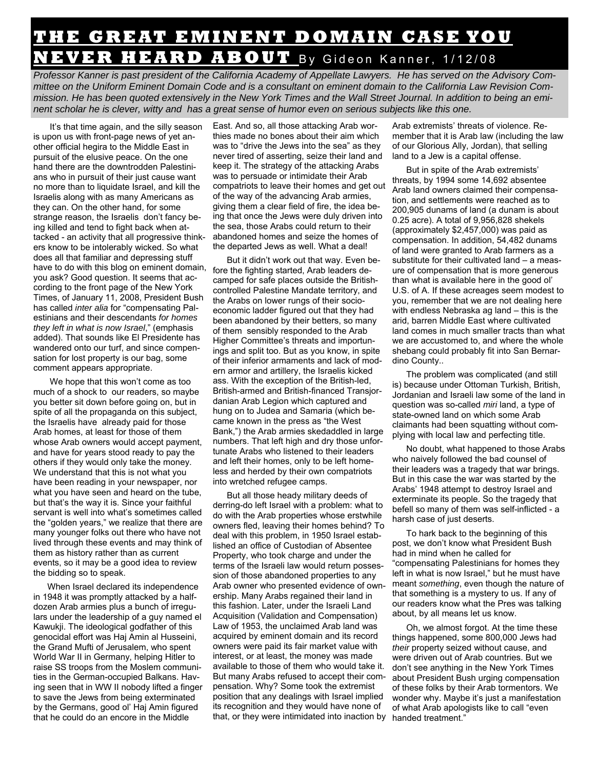## **THE GREAT EMINENT DOMAIN CASE YOU NEVER HEARD ABOUT** By Gideon Kanner, 1/12/08

*Professor Kanner is past president of the California Academy of Appellate Lawyers. He has served on the Advisory Committee on the Uniform Eminent Domain Code and is a consultant on eminent domain to the California Law Revision Commission. He has been quoted extensively in the New York Times and the Wall Street Journal. In addition to being an eminent scholar he is clever, witty and has a great sense of humor even on serious subjects like this one.* 

 It's that time again, and the silly season is upon us with front-page news of yet another official hegira to the Middle East in pursuit of the elusive peace. On the one hand there are the downtrodden Palestinians who in pursuit of their just cause want no more than to liquidate Israel, and kill the Israelis along with as many Americans as they can. On the other hand, for some strange reason, the Israelis don't fancy being killed and tend to fight back when attacked - an activity that all progressive thinkers know to be intolerably wicked. So what does all that familiar and depressing stuff have to do with this blog on eminent domain, you ask? Good question. It seems that according to the front page of the New York Times, of January 11, 2008, President Bush has called *inter alia* for "compensating Palestinians and their descendants *for homes they left in what is now Israel*," (emphasis added). That sounds like El Presidente has wandered onto our turf, and since compensation for lost property is our bag, some comment appears appropriate.

 We hope that this won't come as too much of a shock to our readers, so maybe you better sit down before going on, but in spite of all the propaganda on this subject, the Israelis have already paid for those Arab homes, at least for those of them whose Arab owners would accept payment, and have for years stood ready to pay the others if they would only take the money. We understand that this is not what you have been reading in your newspaper, nor what you have seen and heard on the tube, but that's the way it is. Since your faithful servant is well into what's sometimes called the "golden years," we realize that there are many younger folks out there who have not lived through these events and may think of them as history rather than as current events, so it may be a good idea to review the bidding so to speak.

When Israel declared its independence in 1948 it was promptly attacked by a halfdozen Arab armies plus a bunch of irregulars under the leadership of a guy named el Kawukji. The ideological godfather of this genocidal effort was Haj Amin al Husseini, the Grand Mufti of Jerusalem, who spent World War II in Germany, helping Hitler to raise SS troops from the Moslem communities in the German-occupied Balkans. Having seen that in WW II nobody lifted a finger to save the Jews from being exterminated by the Germans, good ol' Haj Amin figured that he could do an encore in the Middle

East. And so, all those attacking Arab worthies made no bones about their aim which was to "drive the Jews into the sea" as they never tired of asserting, seize their land and keep it. The strategy of the attacking Arabs was to persuade or intimidate their Arab compatriots to leave their homes and get out of the way of the advancing Arab armies, giving them a clear field of fire, the idea being that once the Jews were duly driven into the sea, those Arabs could return to their abandoned homes and seize the homes of the departed Jews as well. What a deal!

But it didn't work out that way. Even before the fighting started, Arab leaders decamped for safe places outside the Britishcontrolled Palestine Mandate territory, and the Arabs on lower rungs of their socioeconomic ladder figured out that they had been abandoned by their betters, so many of them sensibly responded to the Arab Higher Committee's threats and importunings and split too. But as you know, in spite of their inferior armaments and lack of modern armor and artillery, the Israelis kicked ass. With the exception of the British-led, British-armed and British-financed Transjordanian Arab Legion which captured and hung on to Judea and Samaria (which became known in the press as "the West Bank,") the Arab armies skedaddled in large numbers. That left high and dry those unfortunate Arabs who listened to their leaders and left their homes, only to be left homeless and herded by their own compatriots into wretched refugee camps.

But all those heady military deeds of derring-do left Israel with a problem: what to do with the Arab properties whose erstwhile owners fled, leaving their homes behind? To deal with this problem, in 1950 Israel established an office of Custodian of Absentee Property, who took charge and under the terms of the Israeli law would return possession of those abandoned properties to any Arab owner who presented evidence of ownership. Many Arabs regained their land in this fashion. Later, under the Israeli Land Acquisition (Validation and Compensation) Law of 1953, the unclaimed Arab land was acquired by eminent domain and its record owners were paid its fair market value with interest, or at least, the money was made available to those of them who would take it. But many Arabs refused to accept their compensation. Why? Some took the extremist position that any dealings with Israel implied its recognition and they would have none of that, or they were intimidated into inaction by

Arab extremists' threats of violence. Remember that it is Arab law (including the law of our Glorious Ally, Jordan), that selling land to a Jew is a capital offense.

But in spite of the Arab extremists' threats, by 1994 some 14,692 absentee Arab land owners claimed their compensation, and settlements were reached as to 200,905 dunams of land (a dunam is about 0.25 acre). A total of 9,956,828 shekels (approximately \$2,457,000) was paid as compensation. In addition, 54,482 dunams of land were granted to Arab farmers as a substitute for their cultivated land – a measure of compensation that is more generous than what is available here in the good ol' U.S. of A. If these acreages seem modest to you, remember that we are not dealing here with endless Nebraska ag land – this is the arid, barren Middle East where cultivated land comes in much smaller tracts than what we are accustomed to, and where the whole shebang could probably fit into San Bernardino County..

The problem was complicated (and still is) because under Ottoman Turkish, British, Jordanian and Israeli law some of the land in question was so-called *miri* land, a type of state-owned land on which some Arab claimants had been squatting without complying with local law and perfecting title.

No doubt, what happened to those Arabs who naively followed the bad counsel of their leaders was a tragedy that war brings. But in this case the war was started by the Arabs' 1948 attempt to destroy Israel and exterminate its people. So the tragedy that befell so many of them was self-inflicted - a harsh case of just deserts.

To hark back to the beginning of this post, we don't know what President Bush had in mind when he called for "compensating Palestinians for homes they left in what is now Israel," but he must have meant *something*, even though the nature of that something is a mystery to us. If any of our readers know what the Pres was talking about, by all means let us know.

Oh, we almost forgot. At the time these things happened, some 800,000 Jews had *their* property seized without cause, and were driven out of Arab countries. But we don't see anything in the New York Times about President Bush urging compensation of these folks by their Arab tormentors. We wonder why. Maybe it's just a manifestation of what Arab apologists like to call "even handed treatment."